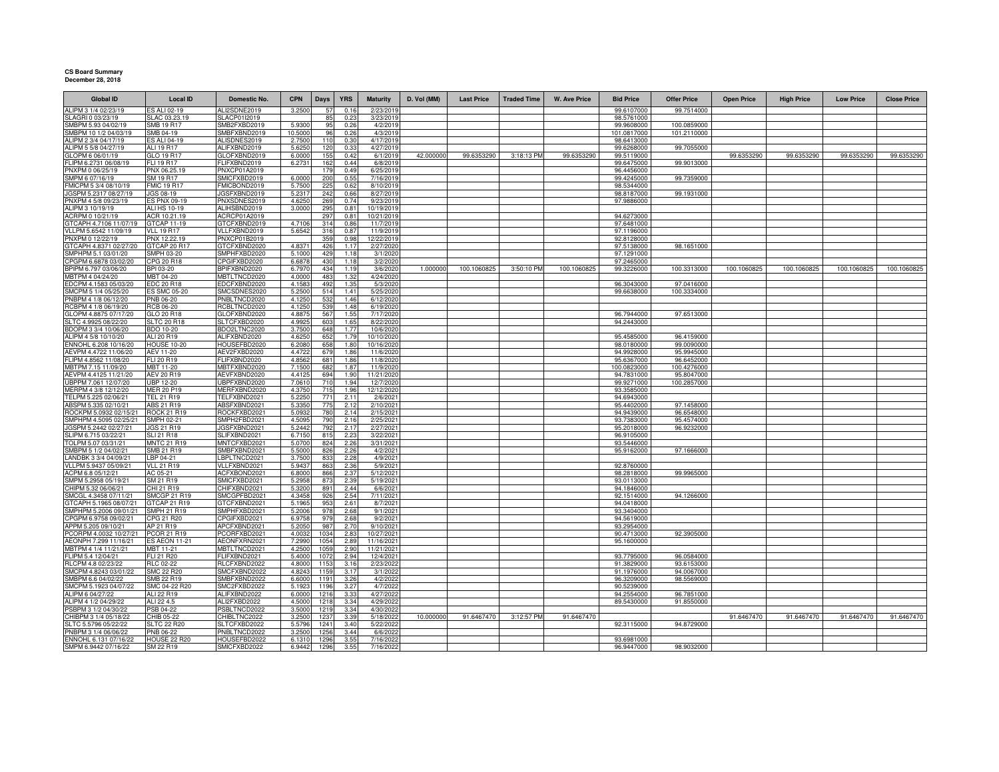## **CS Board Summary December 28, 2018**

| <b>Global ID</b>                                | <b>Local ID</b>                          | <b>Domestic No.</b>          | <b>CPN</b>      | Days         | <b>YRS</b>   | <b>Maturity</b>         | D. Vol (MM) | <b>Last Price</b> | <b>Traded Time</b> | <b>W. Ave Price</b> | <b>Bid Price</b>          | <b>Offer Price</b>        | <b>Open Price</b> | <b>High Price</b> | <b>Low Price</b> | <b>Close Price</b> |
|-------------------------------------------------|------------------------------------------|------------------------------|-----------------|--------------|--------------|-------------------------|-------------|-------------------|--------------------|---------------------|---------------------------|---------------------------|-------------------|-------------------|------------------|--------------------|
| ALIPM 3 1/4 02/23/19                            | S ALI 02-19                              | ALI2SDNE2019                 | 3.2500          | 57           | 0.16         | 2/23/2019               |             |                   |                    |                     | 99.6107000                | 99.7514000                |                   |                   |                  |                    |
| SLAGRI 0 03/23/19                               | SLAC 03.23.19                            | SLACP01I2019                 |                 | 85           | 0.23         | 3/23/2019               |             |                   |                    |                     | 98.5761000                |                           |                   |                   |                  |                    |
| SMBPM 5.93 04/02/19                             | SMB 19 R17                               | SMB2FXBD2019                 | 5.930           | 95           | 0.26         | 4/2/2019                |             |                   |                    |                     | 99.9608000                | 100.0859000               |                   |                   |                  |                    |
| SMBPM 10 1/2 04/03/19                           | SMB 04-19                                | SMBFXBND2019                 | 10.5000         | 96           | 0.26         | 4/3/2019                |             |                   |                    |                     | 101.0817000               | 101.2110000               |                   |                   |                  |                    |
| ALIPM 2 3/4 04/17/19<br>ALIPM 5 5/8 04/27/19    | S ALI 04-19<br>ALI 19 R17                | ALISDNES2019<br>ALIFXBND2019 | 2.750           | 110          | 0.30         | 4/17/2019<br>4/27/2019  |             |                   |                    |                     | 98.6413000                |                           |                   |                   |                  |                    |
| GLOPM 6 06/01/19                                | GLO 19 R17                               | GLOFXBND2019                 | 5.625<br>6.000  | 120<br>155   | 0.33<br>0.42 | 6/1/2019                | 42.000000   | 99.6353290        | 3:18:13 PM         | 99.6353290          | 99.6268000<br>99.5119000  | 99.7055000                | 99.6353290        | 99.6353290        | 99.6353290       | 99.6353290         |
| FLIPM 6.2731 06/08/19                           | FLI 19 R17                               | FLIFXBND2019                 | 6.2731          | 162          | 0.44         | 6/8/2019                |             |                   |                    |                     | 99.6475000                | 99.9013000                |                   |                   |                  |                    |
| PNXPM 0 06/25/19                                | PNX 06.25.19                             | PNXCP01A2019                 |                 | 179          | 0.49         | 6/25/2019               |             |                   |                    |                     | 96.4456000                |                           |                   |                   |                  |                    |
| SMPM 6 07/16/19                                 | SM 19 R17                                | SMICFXBD2019                 | 6.0000          | 200          | 0.55         | 7/16/2019               |             |                   |                    |                     | 99.4245000                | 99.7359000                |                   |                   |                  |                    |
| MICPM 5 3/4 08/10/19                            | <b>FMIC 19 R17</b>                       | FMICBOND2019                 | 5.750           | 225          | 0.62         | 8/10/2019               |             |                   |                    |                     | 98.5344000                |                           |                   |                   |                  |                    |
| JGSPM 5.2317 08/27/19                           | JGS 08-19                                | JGSFXBND2019                 | 5.231           | 242          | 0.66         | 8/27/2019               |             |                   |                    |                     | 98.8187000                | 99.1931000                |                   |                   |                  |                    |
| PNXPM 4 5/8 09/23/19                            | ES PNX 09-19                             | PNXSDNES2019                 | 4.625           | 269          | 0.74         | 9/23/2019               |             |                   |                    |                     | 97.9886000                |                           |                   |                   |                  |                    |
| ALIPM 3 10/19/19                                | ALI HS 10-19                             | ALIHSBND2019                 | 3.0000          | 295          | 0.81         | 10/19/2019              |             |                   |                    |                     |                           |                           |                   |                   |                  |                    |
| ACRPM 0 10/21/19<br>GTCAPH 4.7106 11/07/19      | ACR 10.21.19<br>GTCAP 11-19              | ACRCP01A2019<br>GTCFXBND2019 | 4.710           | 297<br>314   | 0.81<br>0.86 | 10/21/2019<br>11/7/2019 |             |                   |                    |                     | 94.6273000<br>97.6481000  |                           |                   |                   |                  |                    |
| VLLPM 5.6542 11/09/19                           | <b>VLL 19 R17</b>                        | VLLFXBND2019                 | 5.6542          | 316          | 0.87         | 11/9/2019               |             |                   |                    |                     | 97.1196000                |                           |                   |                   |                  |                    |
| PNXPM 0 12/22/19                                | PNX 12.22.19                             | PNXCP01B2019                 |                 | 359          | 0.98         | 12/22/2019              |             |                   |                    |                     | 92.8128000                |                           |                   |                   |                  |                    |
| GTCAPH 4.8371 02/27/20                          | GTCAP 20 R17                             | GTCFXBND2020                 | 4.837           | 426          | 1.17         | 2/27/2020               |             |                   |                    |                     | 97.5138000                | 98.1651000                |                   |                   |                  |                    |
| SMPHPM 5.1 03/01/20                             | <b>SMPH 03-20</b>                        | SMPHFXBD2020                 | 5.100           | 429          | 1.18         | 3/1/2020                |             |                   |                    |                     | 97.1291000                |                           |                   |                   |                  |                    |
| CPGPM 6.6878 03/02/20                           | CPG 20 R18                               | CPGIFXBD2020                 | 6.687           | 430          | 1.18         | 3/2/2020                |             |                   |                    |                     | 97.2465000                |                           |                   |                   |                  |                    |
| BPIPM 6.797 03/06/20                            | BPI 03-20                                | BPIFXBND2020                 | 6.797           | 434          | 1.19         | 3/6/2020                | 1.000000    | 100.1060825       | 3:50:10 PM         | 100.1060825         | 99.3226000                | 100.3313000               | 100.1060825       | 100.1060825       | 100.1060825      | 100.1060825        |
| MBTPM 4 04/24/20                                | MBT 04-20                                | MBTLTNCD2020                 | 4.000           | 483          | 1.32<br>1.35 | 4/24/2020               |             |                   |                    |                     |                           |                           |                   |                   |                  |                    |
| EDCPM 4.1583 05/03/20<br>SMCPM 5 1/4 05/25/20   | <b>EDC 20 R18</b><br><b>ES SMC 05-20</b> | EDCFXBND2020<br>SMCSDNES2020 | 4.158<br>5.250  | 492<br>514   | 1.41         | 5/3/2020<br>5/25/202    |             |                   |                    |                     | 96.3043000<br>99.6638000  | 97.0416000<br>100.3334000 |                   |                   |                  |                    |
| PNBPM 4 1/8 06/12/20                            | PNB 06-20                                | PNBLTNCD2020                 | 4.125           | 532          | 1.46         | 6/12/202                |             |                   |                    |                     |                           |                           |                   |                   |                  |                    |
| RCBPM 4 1/8 06/19/20                            | RCB 06-20                                | RCBLTNCD2020                 | 4.125           | 539          | 1.48         | 6/19/202                |             |                   |                    |                     |                           |                           |                   |                   |                  |                    |
| GLOPM 4.8875 07/17/20                           | GLO 20 R18                               | GLOFXBND2020                 | 4.887           | 567          | 1.55         | 7/17/202                |             |                   |                    |                     | 96.7944000                | 97.6513000                |                   |                   |                  |                    |
| SLTC 4.9925 08/22/20                            | <b>SLTC 20 R18</b>                       | SLTCFXBD2020                 | 4.992           | 60           | 1.65         | 8/22/202                |             |                   |                    |                     | 94.2443000                |                           |                   |                   |                  |                    |
| BDOPM 3 3/4 10/06/20                            | <b>BDO 10-20</b>                         | BDO2LTNC2020                 | 3.750           | 648          | 1.77         | 10/6/202                |             |                   |                    |                     |                           |                           |                   |                   |                  |                    |
| ALIPM 4 5/8 10/10/20                            | ALI 20 R19                               | ALIFXBND2020                 | 4.625           | 652          | 1.79         | 10/10/202               |             |                   |                    |                     | 95.4585000                | 96.4159000                |                   |                   |                  |                    |
| ENNOHL 6.208 10/16/20                           | <b>HOUSE 10-20</b>                       | HOUSEFBD2020                 | 6.208           | 658          | 1.80         | 10/16/2020              |             |                   |                    |                     | 98.0180000                | 99.0090000                |                   |                   |                  |                    |
| AEVPM 4.4722 11/06/20                           | AEV 11-20                                | AEV2FXBD2020                 | 4.472           | 679          | 1.86         | 11/6/2020               |             |                   |                    |                     | 94.9928000                | 95.9945000                |                   |                   |                  |                    |
| FLIPM 4.8562 11/08/20<br>MBTPM 7.15 11/09/20    | FLI 20 R19<br>MBT 11-20                  | FLIFXBND2020<br>MBTFXBND2020 | 4.856<br>7.150  | 681<br>682   | 1.86<br>1.87 | 11/8/2020<br>11/9/2020  |             |                   |                    |                     | 95.6367000<br>100.0823000 | 96.6452000<br>100.4276000 |                   |                   |                  |                    |
| AEVPM 4.4125 11/21/20                           | <b>AEV 20 R19</b>                        | AEVFXBND2020                 | 4.412           | 694          | 1.90         | 11/21/2020              |             |                   |                    |                     | 94.7831000                | 95.8047000                |                   |                   |                  |                    |
| UBPPM 7.061 12/07/20                            | <b>UBP 12-20</b>                         | UBPFXBND2020                 | 7.061           | 710          | 1.94         | 12/7/2020               |             |                   |                    |                     | 99.9271000                | 100.2857000               |                   |                   |                  |                    |
| MERPM 4 3/8 12/12/20                            | <b>MER 20 P19</b>                        | MERFXBND2020                 | 4.3750          | 715          | 1.96         | 12/12/2020              |             |                   |                    |                     | 93.3585000                |                           |                   |                   |                  |                    |
| TELPM 5.225 02/06/21                            | TEL 21 R19                               | TELFXBND2021                 | 5.225           | 771          | 2.11         | 2/6/2021                |             |                   |                    |                     | 94.6943000                |                           |                   |                   |                  |                    |
| ABSPM 5.335 02/10/21                            | ABS 21 R19                               | ABSFXBND2021                 | 5.335           | 775          | 2.12         | 2/10/2021               |             |                   |                    |                     | 95.4402000                | 97.1458000                |                   |                   |                  |                    |
| ROCKPM 5.0932 02/15/21                          | <b>ROCK 21 R19</b>                       | ROCKFXBD2021                 | 5.093           | 780          | 2.14         | 2/15/2021               |             |                   |                    |                     | 94.9439000                | 96.6548000                |                   |                   |                  |                    |
| SMPHPM 4.5095 02/25/21<br>JGSPM 5.2442 02/27/21 | SMPH 02-21<br><b>JGS 21 R19</b>          | SMPH2FBD2021<br>JGSFXBND2021 | 4.509<br>5.244  | 790          | 2.16<br>2.17 | 2/25/2021<br>2/27/2021  |             |                   |                    |                     | 93.7383000<br>95.2018000  | 95.4574000                |                   |                   |                  |                    |
| SLIPM 6.715 03/22/21                            | <b>SLI 21 R18</b>                        | SLIFXBND2021                 | 6.715           | 792<br>815   | 2.23         | 3/22/2021               |             |                   |                    |                     | 96.9105000                | 96.9232000                |                   |                   |                  |                    |
| TOLPM 5.07 03/31/21                             | <b>MNTC 21 R19</b>                       | MNTCFXBD2021                 | 5.070           | 824          | 2.26         | 3/31/202                |             |                   |                    |                     | 93.5446000                |                           |                   |                   |                  |                    |
| SMBPM 5 1/2 04/02/21                            | <b>SMB 21 R19</b>                        | SMBFXBND2021                 | 5.500           | 826          | 2.26         | 4/2/2021                |             |                   |                    |                     | 95.9162000                | 97.1666000                |                   |                   |                  |                    |
| LANDBK 3 3/4 04/09/21                           | LBP 04-21                                | BPLTNCD2021                  | 3.750           | 833          | 2.28         | 4/9/2021                |             |                   |                    |                     |                           |                           |                   |                   |                  |                    |
| VLLPM 5.9437 05/09/21                           | <b>VLL 21 R19</b>                        | VLLFXBND2021                 | 5.943           | 863          | 2.36         | 5/9/202                 |             |                   |                    |                     | 92.8760000                |                           |                   |                   |                  |                    |
| ACPM 6.8 05/12/21                               | AC 05-21                                 | ACFXBOND2021                 | 6.800           | 866          | 2.37         | 5/12/2021               |             |                   |                    |                     | 98.2818000                | 99.9965000                |                   |                   |                  |                    |
| SMPM 5.2958 05/19/21                            | SM 21 R19                                | SMICFXBD2021                 | 5.295           | 873          | 2.39         | 5/19/2021               |             |                   |                    |                     | 93.0113000                |                           |                   |                   |                  |                    |
| CHIPM 5.32 06/06/21<br>SMCGL 4.3458 07/11/21    | CHI 21 R19<br><b>SMCGP 21 R19</b>        | CHIFXBND2021<br>SMCGPFBD2021 | 5.320<br>4.345  | 891          | 2.44<br>2.54 | 6/6/2021<br>7/11/2021   |             |                   |                    |                     | 94.1846000<br>92.1514000  | 94.1266000                |                   |                   |                  |                    |
| GTCAPH 5.1965 08/07/21                          | GTCAP 21 R19                             | GTCFXBND2021                 | 5.196           | 926<br>953   | 2.61         | 8/7/2021                |             |                   |                    |                     | 94.0418000                |                           |                   |                   |                  |                    |
| SMPHPM 5.2006 09/01/21                          | SMPH 21 R19                              | SMPHFXBD2021                 | 5.200           | 978          | 2.68         | 9/1/2021                |             |                   |                    |                     | 93.3404000                |                           |                   |                   |                  |                    |
| CPGPM 6.9758 09/02/21                           | CPG 21 R20                               | PGIFXBD2021                  | 6.975           | 979          | 2.68         | 9/2/2021                |             |                   |                    |                     | 94.5619000                |                           |                   |                   |                  |                    |
| APPM 5.205 09/10/21                             | AP 21 R19                                | APCFXBND2021                 | 5.205           | 987          | 2.70         | 9/10/2021               |             |                   |                    |                     | 93.2954000                |                           |                   |                   |                  |                    |
| PCORPM 4.0032 10/27/21                          | <b>PCOR 21 R19</b>                       | PCORFXBD2021                 | 4.003           | 1034         | 2.83         | 10/27/2021              |             |                   |                    |                     | 90.4713000                | 92.3905000                |                   |                   |                  |                    |
| AEONPH 7.299 11/16/21                           | S AEON 11-21                             | AEONFXRN2021                 | 7.299           | 1054         | 2.89         | 11/16/2021              |             |                   |                    |                     | 95.1600000                |                           |                   |                   |                  |                    |
| MBTPM 4 1/4 11/21/21                            | MBT 11-21                                | MBTLTNCD2021                 | 4.250           | 1059         | 2.90         | 11/21/2021              |             |                   |                    |                     |                           |                           |                   |                   |                  |                    |
| FLIPM 5.4 12/04/21<br>RLCPM 4.8 02/23/22        | FLI 21 R20<br><b>RLC 02-22</b>           | FLIFXBND2021<br>RLCFXBND2022 | 5.400<br>4.8000 | 1072<br>1153 | 2.94<br>3.16 | 12/4/2021<br>2/23/2022  |             |                   |                    |                     | 93.7795000<br>91.3829000  | 96.0584000<br>93.6153000  |                   |                   |                  |                    |
| SMCPM 4.8243 03/01/22                           | <b>SMC 22 R20</b>                        | SMCFXBND2022                 | 4.824           | 1159         | 3.17         | 3/1/2022                |             |                   |                    |                     | 91.1976000                | 94.0067000                |                   |                   |                  |                    |
| SMBPM 6.6 04/02/22                              | SMB 22 R19                               | SMBFXBND2022                 | 6.6000          | 1191         | 3.26         | 4/2/2022                |             |                   |                    |                     | 96.3209000                | 98.5569000                |                   |                   |                  |                    |
| SMCPM 5.1923 04/07/22                           | SMC 04-22 R20                            | SMC2FXBD2022                 | 5.192           | 1196         | 3.27         | 4/7/2022                |             |                   |                    |                     | 90.5239000                |                           |                   |                   |                  |                    |
| ALIPM 6 04/27/22                                | ALI 22 R19                               | ALIFXBND2022                 | 6.0000          | 1216         | 3.33         | 4/27/2022               |             |                   |                    |                     | 94.2554000                | 96.7851000                |                   |                   |                  |                    |
| ALIPM 4 1/2 04/29/22                            | ALI 22 4.5                               | ALI2FXBD2022                 | 4.500           | 1218         | 3.34         | 4/29/2022               |             |                   |                    |                     | 89.5430000                | 91.8550000                |                   |                   |                  |                    |
| PSBPM 3 1/2 04/30/22                            | PSB 04-22                                | PSBLTNCD2022                 | 3,500           | 1219         | 3.34         | 4/30/2022               |             |                   |                    |                     |                           |                           |                   |                   |                  |                    |
| CHIBPM 3 1/4 05/18/22                           | CHIB 05-22                               | CHIBLTNC2022                 | 3.250           | 123          | 3.39         | 5/18/2022               | 10.000000   | 91.6467470        | 3:12:57 PM         | 91.6467470          |                           |                           | 91.6467470        | 91.6467470        | 91.6467470       | 91.6467470         |
| SLTC 5.5796 05/22/22<br>PNBPM 3 1/4 06/06/22    | <b>SLTC 22 R20</b><br>PNB 06-22          | SLTCFXBD2022<br>PNBLTNCD2022 | 5.579<br>3.250  | 1241<br>125  | 3.40<br>3.44 | 5/22/2022<br>6/6/2022   |             |                   |                    |                     | 92.3115000                | 94.8729000                |                   |                   |                  |                    |
| ENNOHL 6.131 07/16/22                           | HOUSE 22 R20                             | HOUSEFBD2022                 | 6.131           | 1296         | 3.55         | 7/16/2022               |             |                   |                    |                     | 93.6981000                |                           |                   |                   |                  |                    |
| SMPM 6.9442 07/16/22                            | SM 22 R19                                | SMICFXBD2022                 | 6.9442          | 129          | 3.55         | 7/16/2022               |             |                   |                    |                     | 96.9447000                | 98.9032000                |                   |                   |                  |                    |
|                                                 |                                          |                              |                 |              |              |                         |             |                   |                    |                     |                           |                           |                   |                   |                  |                    |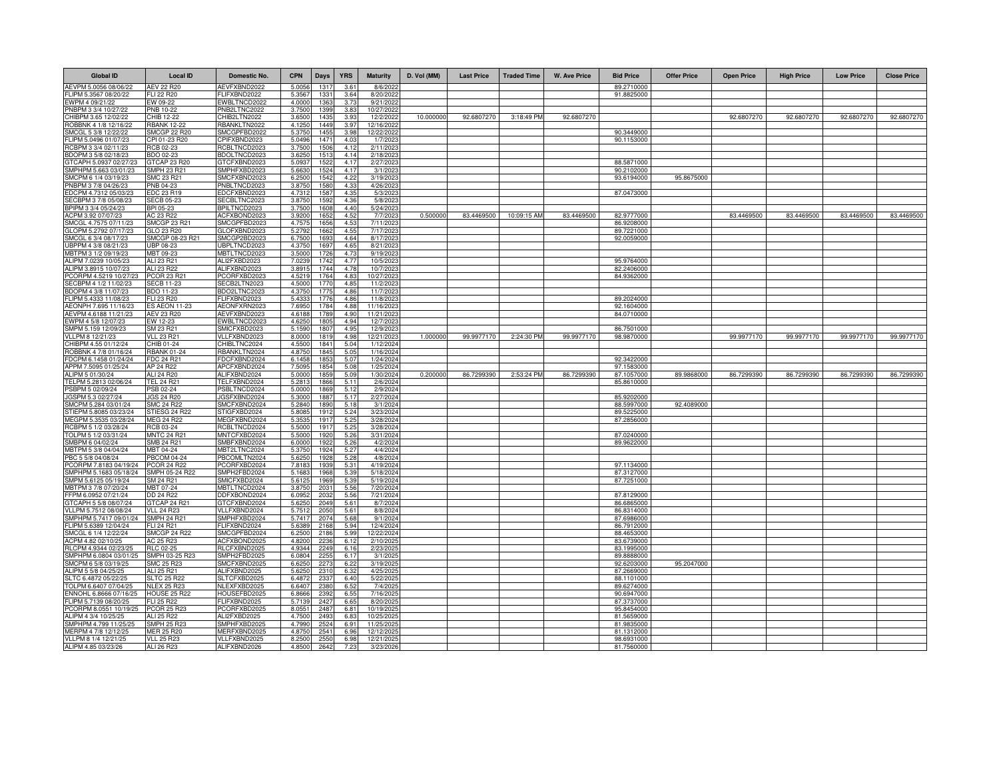| <b>Global ID</b>                                 | <b>Local ID</b>                         | Domestic No.                        | <b>CPN</b>      | Days           | <b>YRS</b>              | <b>Maturity</b>         | D. Vol (MM) | <b>Last Price</b> | <b>Traded Time</b> | <b>W. Ave Price</b> | <b>Bid Price</b>         | <b>Offer Price</b> | <b>Open Price</b> | <b>High Price</b> | <b>Low Price</b> | <b>Close Price</b> |
|--------------------------------------------------|-----------------------------------------|-------------------------------------|-----------------|----------------|-------------------------|-------------------------|-------------|-------------------|--------------------|---------------------|--------------------------|--------------------|-------------------|-------------------|------------------|--------------------|
| AEVPM 5.0056 08/06/22                            | <b>AEV 22 R20</b>                       | AEVFXBND2022                        | 5.0056          | 1317           | $3.6^{\circ}$           | 8/6/202                 |             |                   |                    |                     | 89.2710000               |                    |                   |                   |                  |                    |
| -LIPM 5.3567 08/20/22                            | FLI 22 R20                              | LIFXBND2022                         | 5.356           | $133 -$        | 3.64                    | 8/20/2022               |             |                   |                    |                     | 91.8825000               |                    |                   |                   |                  |                    |
| EWPM 4 09/21/22                                  | EW 09-22                                | WBLTNCD2022                         | 4,000           | 136            | 3.7 <sup>′</sup>        | 9/21/2022               |             |                   |                    |                     |                          |                    |                   |                   |                  |                    |
| PNBPM 3 3/4 10/27/22<br>CHIBPM 3.65 12/02/22     | PNB 10-22<br>CHIB 12-22                 | PNB2LTNC2022<br>CHIB2LTN2022        | 3.750<br>3.650  | 139<br>1435    | 3.8<br>3.9 <sub>3</sub> | 10/27/202<br>12/2/2022  | 10.00000    | 92.6807270        | 3:18:49 PM         | 92.6807270          |                          |                    | 92.6807270        | 92.6807270        | 92.6807270       | 92.680727          |
| ROBBNK 4 1/8 12/16/22                            | <b>RBANK 12-22</b>                      | RBANKLTN2022                        | 4.125           | 1449           | 3.9                     | 12/16/202               |             |                   |                    |                     |                          |                    |                   |                   |                  |                    |
| SMCGL 5 3/8 12/22/22                             | <b>SMCGP 22 R20</b>                     | SMCGPFBD2022                        | 5.375           | 1455           | 3.98                    | 12/22/2022              |             |                   |                    |                     | 90.3449000               |                    |                   |                   |                  |                    |
| FLIPM 5.0496 01/07/23                            | CPI 01-23 R20                           | CPIFXBND2023                        | 5.049           | 1471           | 4.03                    | 1/7/2023                |             |                   |                    |                     | 90.1153000               |                    |                   |                   |                  |                    |
| RCBPM 3 3/4 02/11/23                             | RCB 02-23                               | RCBLTNCD2023                        | 3.750           | 1506           | 4.12                    | 2/11/2023               |             |                   |                    |                     |                          |                    |                   |                   |                  |                    |
| 3DOPM 3 5/8 02/18/23                             | BDO 02-23                               | BDOLTNCD2023                        | 3.625           | 151            | 4.14                    | 2/18/202                |             |                   |                    |                     |                          |                    |                   |                   |                  |                    |
| STCAPH 5.0937 02/27/23<br>MPHPM 5.663 03/01/23   | GTCAP 23 R20<br><b>SMPH 23 R21</b>      | <b>STCFXBND2023</b><br>MPHFXBD2023  | 5.093<br>5.663  | 152<br>1524    | 4.17<br>4.17            | 2/27/2023<br>3/1/202    |             |                   |                    |                     | 88.5871000<br>90.2102000 |                    |                   |                   |                  |                    |
| MCPM 6 1/4 03/19/23                              | SMC 23 R21                              | MCFXBND2023                         | 6.250           | 1542           | 4.22                    | 3/19/2023               |             |                   |                    |                     | 93.6194000               | 95.8675000         |                   |                   |                  |                    |
| PNBPM 3 7/8 04/26/23                             | PNB 04-23                               | NBLTNCD2023                         | 3.875           | 1580           | 4.33                    | 4/26/202                |             |                   |                    |                     |                          |                    |                   |                   |                  |                    |
| EDCPM 4.7312 05/03/23                            | EDC 23 R19                              | DCFXBND2023                         | 4.731           | 1587           | 4.35                    | 5/3/2023                |             |                   |                    |                     | 87.0473000               |                    |                   |                   |                  |                    |
| ECBPM 3 7/8 05/08/23                             | <b>SECB 05-23</b>                       | SECBLTNC2023                        | 3.875           | 159            | 4.36                    | 5/8/202                 |             |                   |                    |                     |                          |                    |                   |                   |                  |                    |
| BPIPM 3 3/4 05/24/23                             | BPI 05-23                               | BPILTNCD2023                        | 3.750           | 1608           | 4.40                    | 5/24/2023               | 0.50000     | 83.4469500        |                    | 83.4469500          |                          |                    | 83.4469500        | 83.4469500        | 83.4469500       | 83.4469500         |
| ACPM 3.92 07/07/23<br>SMCGL 4.7575 07/11/23      | AC 23 R22<br>SMCGP 23 R21               | ACFXBOND2023<br>SMCGPFBD2023        | 3.920<br>4.757  | 1652<br>1656   | 4.52<br>4.53            | 7/7/2023<br>7/11/2023   |             |                   | 10:09:15 AM        |                     | 82.9777000<br>86.9208000 |                    |                   |                   |                  |                    |
| GLOPM 5.2792 07/17/23                            | GLO 23 B20                              | GLOFXBND2023                        | 5.279           | 166            | 4.55                    | 7/17/2023               |             |                   |                    |                     | 89.7221000               |                    |                   |                   |                  |                    |
| SMCGL 6 3/4 08/17/23                             | SMCGP 08-23 R21                         | SMCGP2BD2023                        | 6.750           | 169            | 4.64                    | 8/17/202                |             |                   |                    |                     | 92.0059000               |                    |                   |                   |                  |                    |
| JBPPM 4 3/8 08/21/23                             | UBP 08-23                               | JBPLTNCD2023                        | 4.375           | 1697           | 4.65                    | 8/21/202                |             |                   |                    |                     |                          |                    |                   |                   |                  |                    |
| MBTPM 3 1/2 09/19/23                             | MBT 09-23                               | MBTLTNCD2023                        | 3.500           | 1726           | 4.7 <sup>′</sup>        | 9/19/2023               |             |                   |                    |                     |                          |                    |                   |                   |                  |                    |
| ALIPM 7.0239 10/05/23<br>ALIPM 3.8915 10/07/23   | ALI 23 R21<br>ALI 23 R22                | ALI2FXBD2023<br>ALIFXBND2023        | 7.023<br>3.891  | 1742<br>1744   | 4.77<br>4.78            | 10/5/202<br>10/7/2023   |             |                   |                    |                     | 95.9764000<br>82.2406000 |                    |                   |                   |                  |                    |
| PCORPM 4.5219 10/27/2                            | PCOR 23 R21                             | PCORFXBD2023                        | 4.521           | 1764           | 4.83                    | 10/27/2023              |             |                   |                    |                     | 84.9362000               |                    |                   |                   |                  |                    |
| SECBPM 4 1/2 11/02/23                            | <b>SECB 11-23</b>                       | SECB2LTN2023                        | 4.500           | 1770           | 4.85                    | 11/2/2023               |             |                   |                    |                     |                          |                    |                   |                   |                  |                    |
| BDOPM 4 3/8 11/07/23                             | BDO 11-23                               | BDO2LTNC2023                        | 4.375           | 1775           | 4.86                    | 11/7/202                |             |                   |                    |                     |                          |                    |                   |                   |                  |                    |
| FLIPM 5.4333 11/08/23                            | FLI 23 R20                              | FLIFXBND2023                        | 5.433           | 1776           | 4.86                    | 11/8/2023               |             |                   |                    |                     | 89.2024000               |                    |                   |                   |                  |                    |
| AEONPH 7.695 11/16/23                            | <b>ES AEON 11-23</b>                    | AEONFXRN2023                        | 7.695           | 1784           | 4.88                    | 11/16/202               |             |                   |                    |                     | 92.1604000               |                    |                   |                   |                  |                    |
| AEVPM 4.6188 11/21/23                            | AEV 23 R20                              | AEVFXBND2023<br><b>EWBLTNCD2023</b> | 4.618           | 1789           | 4.90                    | 11/21/202               |             |                   |                    |                     | 84.0710000               |                    |                   |                   |                  |                    |
| WPM 4 5/8 12/07/23<br>SMPM 5.159 12/09/23        | EW 12-23<br>SM 23 R21                   | SMICFXBD2023                        | 4.625<br>5.159  | 180<br>1807    | 4.94<br>4.95            | 12/7/202<br>12/9/202    |             |                   |                    |                     | 86.7501000               |                    |                   |                   |                  |                    |
| VLLPM 8 12/21/23                                 | <b>VLL 23 R21</b>                       | VLLFXBND2023                        | 8.000           | 1819           | 4.98                    | 12/21/2023              | 1.000000    | 99.9977170        | 2:24:30 PM         | 99.9977170          | 98.9870000               |                    | 99.9977170        | 99.9977170        | 99.9977170       | 99.9977170         |
| CHIBPM 4.55 01/12/24                             | CHIB 01-24                              | CHIBLTNC2024                        | 4.5500          | 1841           | 5.04                    | 1/12/2024               |             |                   |                    |                     |                          |                    |                   |                   |                  |                    |
| ROBBNK 4 7/8 01/16/24                            | <b>RBANK 01-24</b>                      | RBANKLTN2024                        | 4.875           | 1845           | 5.05                    | 1/16/2024               |             |                   |                    |                     |                          |                    |                   |                   |                  |                    |
| FDCPM 6.1458 01/24/24                            | FDC 24 R21                              | FDCFXBND2024                        | 6.145           | 185            | 5.07                    | 1/24/2024               |             |                   |                    |                     | 92.3422000               |                    |                   |                   |                  |                    |
| APPM 7.5095 01/25/24<br>ALIPM 5 01/30/24         | AP 24 R22<br>ALI 24 R20                 | APCFXBND2024<br>ALIFXBND2024        | 7.509<br>5.000  | 1854<br>185    | 5.08<br>5.09            | 1/25/2024<br>1/30/2024  | 0.20000     | 86.7299390        | 2:53:24 PM         | 86.7299390          | 97.1583000<br>87.1057000 | 89.9868000         | 86.7299390        | 86.7299390        | 86.7299390       | 86.729939          |
| FELPM 5.2813 02/06/24                            | <b>TEL 24 R21</b>                       | TELFXBND2024                        | 5.281           | 1866           | 5.1                     | 2/6/2024                |             |                   |                    |                     | 85.8610000               |                    |                   |                   |                  |                    |
| PSBPM 5 02/09/24                                 | PSB 02-24                               | PSBLTNCD2024                        | 5.000           | 186            | 5.12                    | 2/9/2024                |             |                   |                    |                     |                          |                    |                   |                   |                  |                    |
| JGSPM 5.3 02/27/24                               | <b>JGS 24 R20</b>                       | JGSFXBND2024                        | 5.300           | 1887           | 5.17                    | 2/27/2024               |             |                   |                    |                     | 85.9202000               |                    |                   |                   |                  |                    |
| SMCPM 5.284 03/01/24                             | <b>SMC 24 R22</b>                       | SMCFXBND2024                        | 5.2840          | 1890           | 5.18                    | 3/1/2024                |             |                   |                    |                     | 88.5997000               | 92.4089000         |                   |                   |                  |                    |
| STIEPM 5.8085 03/23/24<br>MEGPM 5.3535 03/28/24  | STIESG 24 R22<br>MEG 24 R22             | STIGFXBD2024<br>MEGFXBND2024        | 5.8085<br>5.353 | 1912<br>1917   | 5.24<br>5.25            | 3/23/2024<br>3/28/2024  |             |                   |                    |                     | 89.5225000<br>87.2856000 |                    |                   |                   |                  |                    |
| CBPM 5 1/2 03/28/24                              | RCB 03-24                               | RCBLTNCD2024                        | 5.500           | 1917           | 5.25                    | 3/28/2024               |             |                   |                    |                     |                          |                    |                   |                   |                  |                    |
| OLPM 5 1/2 03/31/24                              | <b>MNTC 24 R21</b>                      | <b>MNTCFXBD2024</b>                 | 5.500           | 192            | 5.26                    | 3/31/2024               |             |                   |                    |                     | 87.0240000               |                    |                   |                   |                  |                    |
| MBPM 6 04/02/24                                  | <b>SMB 24 R21</b>                       | SMBFXBND2024                        | 6.000           | 1922           | 5.26                    | 4/2/2024                |             |                   |                    |                     | 89.9622000               |                    |                   |                   |                  |                    |
| MBTPM 5 3/8 04/04/24                             | MBT 04-24                               | MBT2LTNC2024                        | 5.375           | 1924           | 5.27                    | 4/4/2024                |             |                   |                    |                     |                          |                    |                   |                   |                  |                    |
| PBC 5 5/8 04/08/24                               | <b>PBCOM 04-24</b>                      | BCOMLTN2024                         | 5.625           | 192            | 5.28                    | 4/8/2024                |             |                   |                    |                     |                          |                    |                   |                   |                  |                    |
| PCORPM 7.8183 04/19/24<br>SMPHPM 5.1683 05/18/24 | <b>PCOR 24 R22</b><br>SMPH 05-24 R22    | PCORFXBD2024<br>SMPH2FBD2024        | 7.818<br>5.168  | 193<br>196     | 5.31<br>5.39            | 4/19/2024<br>5/18/2024  |             |                   |                    |                     | 97.1134000<br>87.3127000 |                    |                   |                   |                  |                    |
| SMPM 5.6125 05/19/24                             | SM 24 R21                               | SMICFXBD2024                        | 5.612           | 1969           | 5.39                    | 5/19/2024               |             |                   |                    |                     | 87.7251000               |                    |                   |                   |                  |                    |
| MBTPM 3 7/8 07/20/24                             | MBT 07-24                               | <b>MBTLTNCD2024</b>                 | 3.875           | $203 -$        | 5.56                    | 7/20/2024               |             |                   |                    |                     |                          |                    |                   |                   |                  |                    |
| FFPM 6.0952 07/21/24                             | DD 24 R22                               | DDFXBOND2024                        | 6.095           | 203            | 5.56                    | 7/21/2024               |             |                   |                    |                     | 87.8129000               |                    |                   |                   |                  |                    |
| GTCAPH 5 5/8 08/07/24                            | GTCAP 24 R21                            | GTCFXBND2024                        | 5.625           | 2049           | 5.6                     | 8/7/2024                |             |                   |                    |                     | 86.6865000               |                    |                   |                   |                  |                    |
| /LLPM 5.7512 08/08/24<br>MPHPM 5.7417 09/01/24   | <b>VLL 24 R23</b><br><b>SMPH 24 R21</b> | VLLFXBND2024<br>SMPHFXBD2024        | 5.751<br>5.741  | 205<br>$207 -$ | 5.61<br>5.68            | 8/8/2024<br>9/1/2024    |             |                   |                    |                     | 86.8314000<br>87.6986000 |                    |                   |                   |                  |                    |
| -LIPM 5.6389 12/04/24                            | FLI 24 R21                              | FLIFXBND2024                        | 5.638           | 216            | 5.94                    | 12/4/2024               |             |                   |                    |                     | 86.7912000               |                    |                   |                   |                  |                    |
| SMCGL 6 1/4 12/22/24                             | <b>SMCGP 24 R22</b>                     | SMCGPFBD2024                        | 6.250           | 2186           | 5.99                    | 12/22/2024              |             |                   |                    |                     | 88.4653000               |                    |                   |                   |                  |                    |
| ACPM 4.82 02/10/25                               | AC 25 R23                               | ACFXBOND2025                        | 4.820           | 223            | 6.12                    | 2/10/2025               |             |                   |                    |                     | 83.6739000               |                    |                   |                   |                  |                    |
| RLCPM 4.9344 02/23/25                            | <b>RLC 02-25</b>                        | RLCFXBND2025                        | 4.9344          | 2249           | 6.16                    | 2/23/2025               |             |                   |                    |                     | 83.1995000               |                    |                   |                   |                  |                    |
| MPHPM 6.0804 03/01/25<br>MCPM 6 5/8 03/19/25     | SMPH 03-25 R23<br>SMC 25 R23            | SMPH2FBD2025<br>MCFXBND2025         | 6.080<br>6.625  | 225<br>2273    | 6.17<br>6.22            | 3/1/202<br>3/19/2025    |             |                   |                    |                     | 89.8888000<br>92.6203000 | 95.2047000         |                   |                   |                  |                    |
| ALIPM 5 5/8 04/25/25                             | ALI 25 R21                              | ALIFXBND2025                        | 5.625           | 2310           | 6.32                    | 4/25/202                |             |                   |                    |                     | 87.2669000               |                    |                   |                   |                  |                    |
| SLTC 6.4872 05/22/25                             | <b>SLTC 25 R22</b>                      | SLTCFXBD2025                        | 6.487           | 2337           | 6.40                    | 5/22/2025               |             |                   |                    |                     | 88.1101000               |                    |                   |                   |                  |                    |
| OLPM 6.6407 07/04/25                             | <b>NLEX 25 R23</b>                      | ILEXFXBD2025                        | 6.640           | 2380           | 6.52                    | 7/4/202                 |             |                   |                    |                     | 89.6274000               |                    |                   |                   |                  |                    |
| ENNOHL 6.8666 07/16/25                           | HOUSE 25 R22                            | HOUSEFBD2025                        | 6.866           | 239            | 6.5!                    | 7/16/202                |             |                   |                    |                     | 90.6947000               |                    |                   |                   |                  |                    |
| FLIPM 5.7139 08/20/25                            | FLI 25 R22                              | FLIFXBND2025                        | 5.713           | 242            | 6.65                    | 8/20/2025               |             |                   |                    |                     | 87.3737000               |                    |                   |                   |                  |                    |
| PCORPM 8.0551 10/19/25<br>ALIPM 4 3/4 10/25/25   | <b>PCOR 25 R23</b><br><b>ALI 25 R22</b> | PCORFXBD2025<br>ALI2FXBD2025        | 8.055<br>4.750  | 2487<br>249    | 6.81<br>6.83            | 10/19/2025<br>10/25/202 |             |                   |                    |                     | 95.8454000<br>81.5659000 |                    |                   |                   |                  |                    |
| SMPHPM 4.799 11/25/25                            | SMPH 25 R23                             | SMPHFXBD2025                        | 4.799           | 2524           | 6.9                     | 11/25/2025              |             |                   |                    |                     | 81.9835000               |                    |                   |                   |                  |                    |
| MERPM 4 7/8 12/12/25                             | <b>MER 25 R20</b>                       | MERFXBND2025                        | 4.875           | 2541           | 6.9                     | 12/12/202               |             |                   |                    |                     | 81.1312000               |                    |                   |                   |                  |                    |
| VLLPM 8 1/4 12/21/25                             | <b>VLL 25 R23</b>                       | VLLFXBND2025                        | 8.250           | 255            | 6.9                     | 12/21/202               |             |                   |                    |                     | 98.6931000               |                    |                   |                   |                  |                    |
| ALIPM 4.85 03/23/26                              | ALI 26 R23                              | ALIFXBND2026                        | 4.850           | 2642           | 7.23                    | 3/23/202                |             |                   |                    |                     | 81.7560000               |                    |                   |                   |                  |                    |